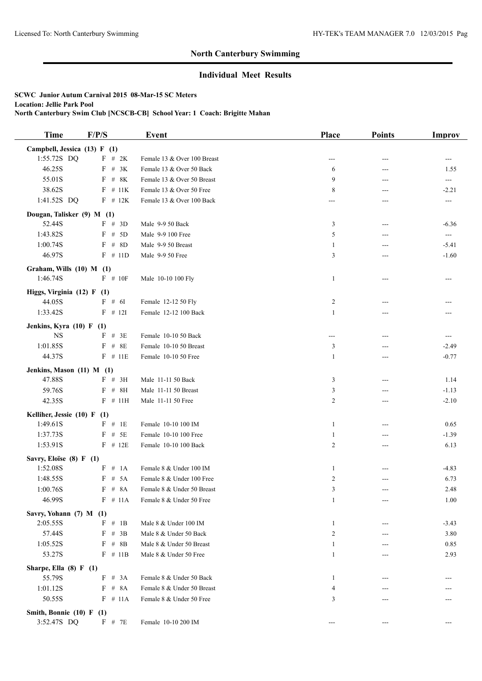## **North Canterbury Swimming**

## **Individual Meet Results**

**SCWC Junior Autum Carnival 2015 08-Mar-15 SC Meters Location: Jellie Park Pool North Canterbury Swim Club [NCSCB-CB] School Year: 1 Coach: Brigitte Mahan**

| <b>Time</b>                  | F/P/S       | Event                       | Place          | <b>Points</b> | Improv              |
|------------------------------|-------------|-----------------------------|----------------|---------------|---------------------|
| Campbell, Jessica (13) F (1) |             |                             |                |               |                     |
| 1:55.72S DQ                  | F # 2K      | Female 13 & Over 100 Breast | ---            | ---           |                     |
| 46.25S                       | $F$ # 3K    | Female 13 & Over 50 Back    | 6              | ---           | 1.55                |
| 55.01S                       | $F$ # 8K    | Female 13 & Over 50 Breast  | 9              | ---           | $\qquad \qquad - -$ |
| 38.62S                       | F<br># 11K  | Female 13 & Over 50 Free    | 8              | ---           | $-2.21$             |
| 1:41.52S DQ                  | $F$ # 12K   | Female 13 & Over 100 Back   | ---            |               | ---                 |
| Dougan, Talisker (9) M (1)   |             |                             |                |               |                     |
| 52.44S                       | F # 3D      | Male 9-9 50 Back            | 3              | ---           | $-6.36$             |
| 1:43.82S                     | $F$ # 5D    | Male 9-9 100 Free           | 5              | ---           | $\qquad \qquad -$   |
| 1:00.74S                     | F<br># $8D$ | Male 9-9 50 Breast          | 1              | ---           | $-5.41$             |
| 46.97S                       | $F$ # 11D   | Male 9-9 50 Free            | 3              | $---$         | $-1.60$             |
| Graham, Wills (10) M (1)     |             |                             |                |               |                     |
| 1:46.74S                     | $F$ # 10F   | Male 10-10 100 Fly          | $\mathbf{1}$   | $---$         |                     |
| Higgs, Virginia (12) F (1)   |             |                             |                |               |                     |
| 44.05S                       | F # 6I      | Female 12-12 50 Fly         | $\overline{c}$ |               |                     |
| 1:33.42S                     | $F$ # 12I   | Female 12-12 100 Back       | $\mathbf{1}$   | ---           |                     |
| Jenkins, Kyra $(10)$ F $(1)$ |             |                             |                |               |                     |
| <b>NS</b>                    | $F$ # 3E    | Female 10-10 50 Back        | ---            | ---           | ---                 |
| 1:01.85S                     | F<br>#8E    | Female 10-10 50 Breast      | 3              | ---           | $-2.49$             |
| 44.37S                       | $F$ # 11E   | Female 10-10 50 Free        | 1              | $---$         | $-0.77$             |
| Jenkins, Mason (11) M (1)    |             |                             |                |               |                     |
| 47.88S                       | $F$ # 3H    | Male 11-11 50 Back          | 3              |               | 1.14                |
| 59.76S                       | $F$ # 8H    | Male 11-11 50 Breast        | 3              | ---           | $-1.13$             |
| 42.35S                       | $F$ # 11H   | Male 11-11 50 Free          | 2              | ---           | $-2.10$             |
| Kelliher, Jessie (10) F (1)  |             |                             |                |               |                     |
| 1:49.61S                     | $F$ # 1E    | Female 10-10 100 IM         | $\mathbf{1}$   | ---           | 0.65                |
| 1:37.73S                     | $F$ # 5E    | Female 10-10 100 Free       | 1              | $---$         | $-1.39$             |
| 1:53.91S                     | $F$ # 12E   | Female 10-10 100 Back       | 2              | $---$         | 6.13                |
| Savry, Eloïse (8) F (1)      |             |                             |                |               |                     |
| 1:52.08S                     | F # 1A      | Female 8 & Under 100 IM     | 1              | $---$         | $-4.83$             |
| 1:48.55S                     | F<br># 5A   | Female 8 & Under 100 Free   | $\overline{c}$ |               | 6.73                |
| 1:00.76S                     | F # 8A      | Female 8 & Under 50 Breast  | 3              |               | 2.48                |
| 46.99S                       | $F \# 11A$  | Female 8 & Under 50 Free    | $\mathbf{1}$   | ---           | 1.00                |
| Savry, Yohann (7) M (1)      |             |                             |                |               |                     |
| 2:05.55S                     | $F \# 1B$   | Male 8 & Under 100 IM       | $\mathbf{1}$   |               | $-3.43$             |
| 57.44S                       | F # 3B      | Male 8 & Under 50 Back      | 2              |               | 3.80                |
| 1:05.52S                     | $F$ # 8B    | Male 8 & Under 50 Breast    | 1              |               | 0.85                |
| 53.27S                       | $F$ # 11B   | Male 8 & Under 50 Free      | 1              |               | 2.93                |
| Sharpe, Ella $(8)$ F $(1)$   |             |                             |                |               |                     |
| 55.79S                       | F # 3A      | Female 8 & Under 50 Back    | 1              |               |                     |
| 1:01.12S                     | $F$ # 8A    | Female 8 & Under 50 Breast  | 4              |               |                     |
| 50.55S                       | $F \# 11A$  | Female 8 & Under 50 Free    | 3              |               |                     |
| Smith, Bonnie (10) F (1)     |             |                             |                |               |                     |
| 3:52.47S DQ                  | F # 7E      | Female 10-10 200 IM         |                |               |                     |